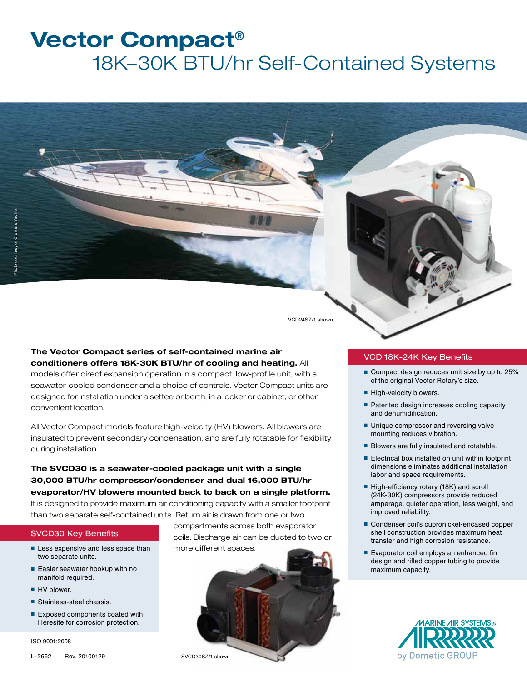# **Vector Compact**® 18K–30K BTU/hr Self-Contained Systems

VCD24SZ/1 shown

### **The Vector Compact series of self-contained marine air conditioners offers 18K-30K BTU/hr of cooling and heating.** All

models offer direct expansion operation in a compact, low-profile unit, with a seawater-cooled condenser and a choice of controls. Vector Compact units are designed for installation under a settee or berth, in a locker or cabinet, or other convenient location.

All Vector Compact models feature high-velocity (HV) blowers. All blowers are insulated to prevent secondary condensation, and are fully rotatable for flexibility during installation.

**The SVCD30 is a seawater-cooled package unit with a single 30,000 BTU/hr compressor/condenser and dual 16,000 BTU/hr evaporator/HV blowers mounted back to back on a single platform.** It is designed to provide maximum air conditioning capacity with a smaller footprint than two separate self-contained units. Return air is drawn from one or two

### SVCD30 Key Benefits

- Less expensive and less space than two separate units.
- Easier seawater hookup with no manifold required.
- HV blower.
- Stainless-steel chassis.
- Exposed components coated with Heresite for corrosion protection.

ISO 9001:2008

L–2662 Rev. 20100129

compartments across both evaporator coils. Discharge air can be ducted to two or more different spaces.



### VCD 18K-24K Key Benefits

- Compact design reduces unit size by up to 25% of the original Vector Rotary's size.
- High-velocity blowers.
- Patented design increases cooling capacity and dehumidification.
- Unique compressor and reversing valve mounting reduces vibration.
- Blowers are fully insulated and rotatable.
- Electrical box installed on unit within footprint dimensions eliminates additional installation labor and space requirements.
- High-efficiency rotary (18K) and scroll (24K-30K) compressors provide reduced amperage, quieter operation, less weight, and improved reliability.
- Condenser coil's cupronickel-encased copper shell construction provides maximum heat transfer and high corrosion resistance.
- Evaporator coil employs an enhanced fin design and rifled copper tubing to provide maximum capacity.